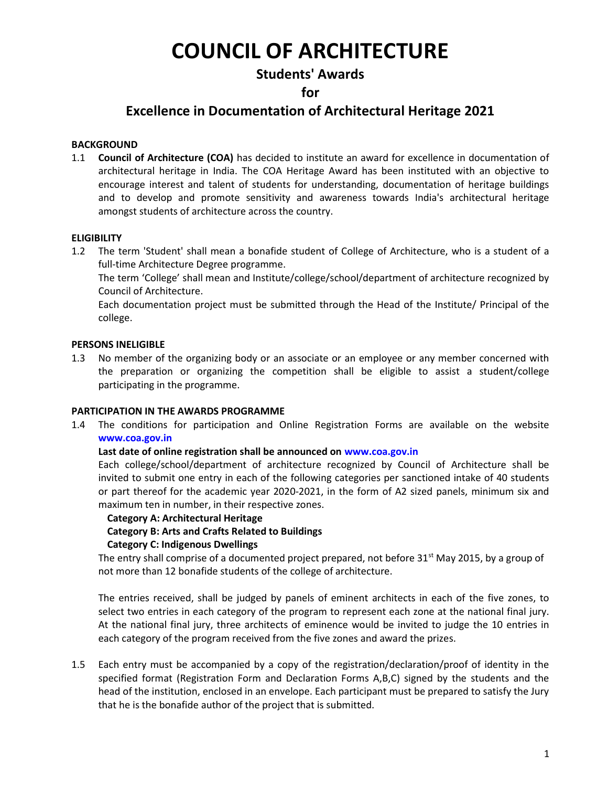# COUNCIL OF ARCHITECTURE

# Students' Awards

# for

# Excellence in Documentation of Architectural Heritage 2021

# **BACKGROUND**

1.1 Council of Architecture (COA) has decided to institute an award for excellence in documentation of architectural heritage in India. The COA Heritage Award has been instituted with an objective to encourage interest and talent of students for understanding, documentation of heritage buildings and to develop and promote sensitivity and awareness towards India's architectural heritage amongst students of architecture across the country.

# **ELIGIBILITY**

1.2 The term 'Student' shall mean a bonafide student of College of Architecture, who is a student of a full-time Architecture Degree programme.

The term 'College' shall mean and Institute/college/school/department of architecture recognized by Council of Architecture.

Each documentation project must be submitted through the Head of the Institute/ Principal of the college.

# PERSONS INELIGIBLE

1.3 No member of the organizing body or an associate or an employee or any member concerned with the preparation or organizing the competition shall be eligible to assist a student/college participating in the programme.

# PARTICIPATION IN THE AWARDS PROGRAMME

1.4 The conditions for participation and Online Registration Forms are available on the website www.coa.gov.in

# Last date of online registration shall be announced on www.coa.gov.in

Each college/school/department of architecture recognized by Council of Architecture shall be invited to submit one entry in each of the following categories per sanctioned intake of 40 students or part thereof for the academic year 2020-2021, in the form of A2 sized panels, minimum six and maximum ten in number, in their respective zones.

# Category A: Architectural Heritage

# Category B: Arts and Crafts Related to Buildings

# Category C: Indigenous Dwellings

The entry shall comprise of a documented project prepared, not before  $31<sup>st</sup>$  May 2015, by a group of not more than 12 bonafide students of the college of architecture.

The entries received, shall be judged by panels of eminent architects in each of the five zones, to select two entries in each category of the program to represent each zone at the national final jury. At the national final jury, three architects of eminence would be invited to judge the 10 entries in each category of the program received from the five zones and award the prizes.

1.5 Each entry must be accompanied by a copy of the registration/declaration/proof of identity in the specified format (Registration Form and Declaration Forms A,B,C) signed by the students and the head of the institution, enclosed in an envelope. Each participant must be prepared to satisfy the Jury that he is the bonafide author of the project that is submitted.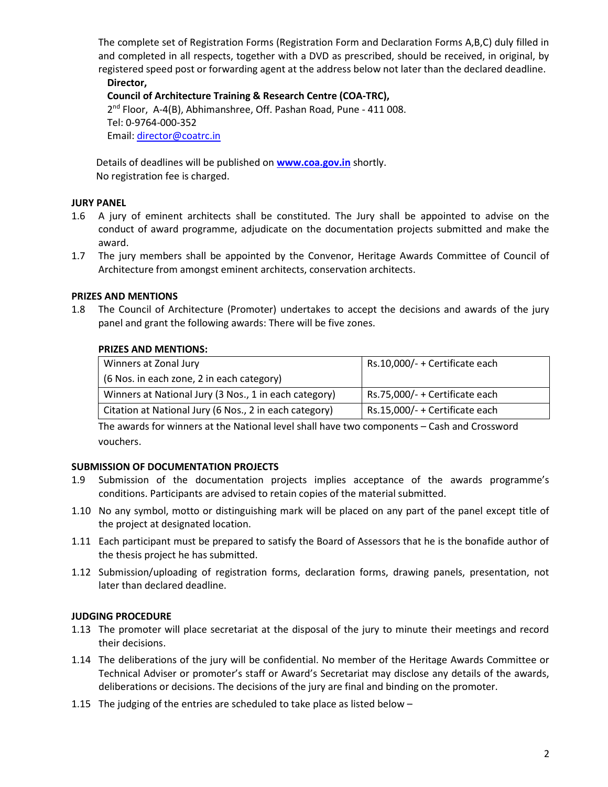The complete set of Registration Forms (Registration Form and Declaration Forms A,B,C) duly filled in and completed in all respects, together with a DVD as prescribed, should be received, in original, by registered speed post or forwarding agent at the address below not later than the declared deadline. Director,

Council of Architecture Training & Research Centre (COA-TRC), 2<sup>nd</sup> Floor, A-4(B), Abhimanshree, Off. Pashan Road, Pune - 411 008. Tel: 0-9764-000-352 Email: director@coatrc.in

Details of deadlines will be published on **www.coa.gov.in** shortly. No registration fee is charged.

# JURY PANEL

- 1.6 A jury of eminent architects shall be constituted. The Jury shall be appointed to advise on the conduct of award programme, adjudicate on the documentation projects submitted and make the award.
- 1.7 The jury members shall be appointed by the Convenor, Heritage Awards Committee of Council of Architecture from amongst eminent architects, conservation architects.

# PRIZES AND MENTIONS

1.8 The Council of Architecture (Promoter) undertakes to accept the decisions and awards of the jury panel and grant the following awards: There will be five zones.

# PRIZES AND MENTIONS:

| Winners at Zonal Jury                                  | Rs.10,000/- + Certificate each |
|--------------------------------------------------------|--------------------------------|
| (6 Nos. in each zone, 2 in each category)              |                                |
| Winners at National Jury (3 Nos., 1 in each category)  | Rs.75,000/- + Certificate each |
| Citation at National Jury (6 Nos., 2 in each category) | Rs.15,000/- + Certificate each |

The awards for winners at the National level shall have two components – Cash and Crossword vouchers.

# SUBMISSION OF DOCUMENTATION PROJECTS

- 1.9 Submission of the documentation projects implies acceptance of the awards programme's conditions. Participants are advised to retain copies of the material submitted.
- 1.10 No any symbol, motto or distinguishing mark will be placed on any part of the panel except title of the project at designated location.
- 1.11 Each participant must be prepared to satisfy the Board of Assessors that he is the bonafide author of the thesis project he has submitted.
- 1.12 Submission/uploading of registration forms, declaration forms, drawing panels, presentation, not later than declared deadline.

# JUDGING PROCEDURE

- 1.13 The promoter will place secretariat at the disposal of the jury to minute their meetings and record their decisions.
- 1.14 The deliberations of the jury will be confidential. No member of the Heritage Awards Committee or Technical Adviser or promoter's staff or Award's Secretariat may disclose any details of the awards, deliberations or decisions. The decisions of the jury are final and binding on the promoter.
- 1.15 The judging of the entries are scheduled to take place as listed below –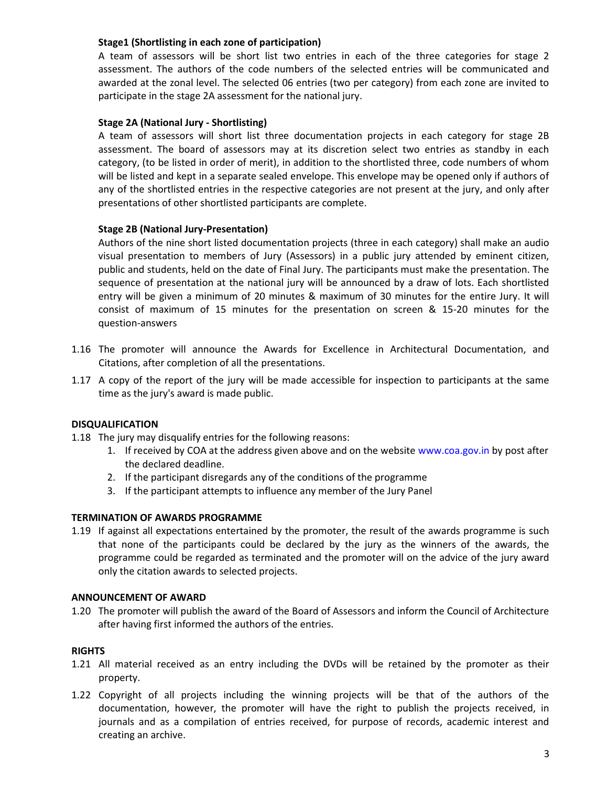# Stage1 (Shortlisting in each zone of participation)

A team of assessors will be short list two entries in each of the three categories for stage 2 assessment. The authors of the code numbers of the selected entries will be communicated and awarded at the zonal level. The selected 06 entries (two per category) from each zone are invited to participate in the stage 2A assessment for the national jury.

# Stage 2A (National Jury - Shortlisting)

A team of assessors will short list three documentation projects in each category for stage 2B assessment. The board of assessors may at its discretion select two entries as standby in each category, (to be listed in order of merit), in addition to the shortlisted three, code numbers of whom will be listed and kept in a separate sealed envelope. This envelope may be opened only if authors of any of the shortlisted entries in the respective categories are not present at the jury, and only after presentations of other shortlisted participants are complete.

# Stage 2B (National Jury-Presentation)

Authors of the nine short listed documentation projects (three in each category) shall make an audio visual presentation to members of Jury (Assessors) in a public jury attended by eminent citizen, public and students, held on the date of Final Jury. The participants must make the presentation. The sequence of presentation at the national jury will be announced by a draw of lots. Each shortlisted entry will be given a minimum of 20 minutes & maximum of 30 minutes for the entire Jury. It will consist of maximum of 15 minutes for the presentation on screen & 15-20 minutes for the question-answers

- 1.16 The promoter will announce the Awards for Excellence in Architectural Documentation, and Citations, after completion of all the presentations.
- 1.17 A copy of the report of the jury will be made accessible for inspection to participants at the same time as the jury's award is made public.

# DISQUALIFICATION

- 1.18 The jury may disqualify entries for the following reasons:
	- 1. If received by COA at the address given above and on the website www.coa.gov.in by post after the declared deadline.
	- 2. If the participant disregards any of the conditions of the programme
	- 3. If the participant attempts to influence any member of the Jury Panel

# TERMINATION OF AWARDS PROGRAMME

1.19 If against all expectations entertained by the promoter, the result of the awards programme is such that none of the participants could be declared by the jury as the winners of the awards, the programme could be regarded as terminated and the promoter will on the advice of the jury award only the citation awards to selected projects.

# ANNOUNCEMENT OF AWARD

1.20 The promoter will publish the award of the Board of Assessors and inform the Council of Architecture after having first informed the authors of the entries.

# RIGHTS

- 1.21 All material received as an entry including the DVDs will be retained by the promoter as their property.
- 1.22 Copyright of all projects including the winning projects will be that of the authors of the documentation, however, the promoter will have the right to publish the projects received, in journals and as a compilation of entries received, for purpose of records, academic interest and creating an archive.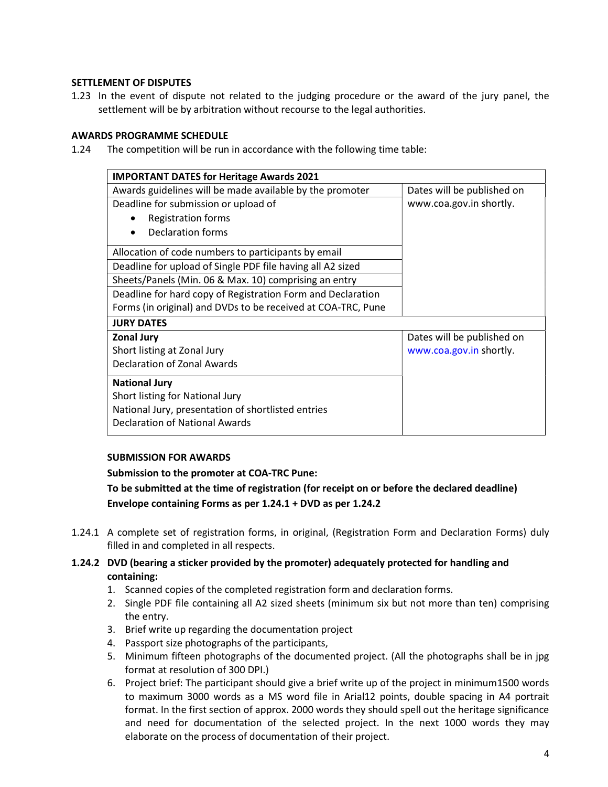# SETTLEMENT OF DISPUTES

1.23 In the event of dispute not related to the judging procedure or the award of the jury panel, the settlement will be by arbitration without recourse to the legal authorities.

#### AWARDS PROGRAMME SCHEDULE

1.24 The competition will be run in accordance with the following time table:

| <b>IMPORTANT DATES for Heritage Awards 2021</b>              |                            |  |
|--------------------------------------------------------------|----------------------------|--|
| Awards guidelines will be made available by the promoter     | Dates will be published on |  |
| Deadline for submission or upload of                         | www.coa.gov.in shortly.    |  |
| <b>Registration forms</b>                                    |                            |  |
| Declaration forms                                            |                            |  |
| Allocation of code numbers to participants by email          |                            |  |
| Deadline for upload of Single PDF file having all A2 sized   |                            |  |
| Sheets/Panels (Min. 06 & Max. 10) comprising an entry        |                            |  |
| Deadline for hard copy of Registration Form and Declaration  |                            |  |
| Forms (in original) and DVDs to be received at COA-TRC, Pune |                            |  |
| <b>JURY DATES</b>                                            |                            |  |
| <b>Zonal Jury</b>                                            | Dates will be published on |  |
| Short listing at Zonal Jury                                  | www.coa.gov.in shortly.    |  |
| <b>Declaration of Zonal Awards</b>                           |                            |  |
| <b>National Jury</b>                                         |                            |  |
| Short listing for National Jury                              |                            |  |
| National Jury, presentation of shortlisted entries           |                            |  |
| <b>Declaration of National Awards</b>                        |                            |  |

# SUBMISSION FOR AWARDS

Submission to the promoter at COA-TRC Pune:

To be submitted at the time of registration (for receipt on or before the declared deadline) Envelope containing Forms as per 1.24.1 + DVD as per 1.24.2

- 1.24.1 A complete set of registration forms, in original, (Registration Form and Declaration Forms) duly filled in and completed in all respects.
- 1.24.2 DVD (bearing a sticker provided by the promoter) adequately protected for handling and containing:
	- 1. Scanned copies of the completed registration form and declaration forms.
	- 2. Single PDF file containing all A2 sized sheets (minimum six but not more than ten) comprising the entry.
	- 3. Brief write up regarding the documentation project
	- 4. Passport size photographs of the participants,
	- 5. Minimum fifteen photographs of the documented project. (All the photographs shall be in jpg format at resolution of 300 DPI.)
	- 6. Project brief: The participant should give a brief write up of the project in minimum1500 words to maximum 3000 words as a MS word file in Arial12 points, double spacing in A4 portrait format. In the first section of approx. 2000 words they should spell out the heritage significance and need for documentation of the selected project. In the next 1000 words they may elaborate on the process of documentation of their project.